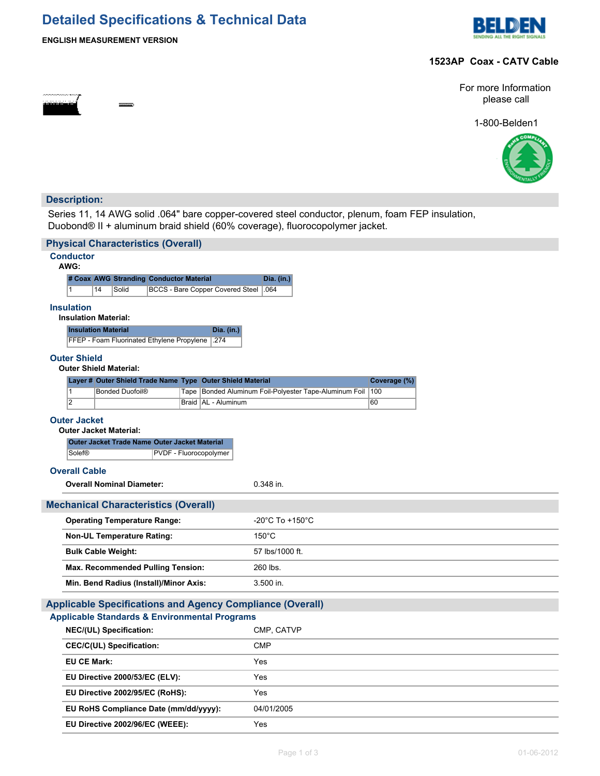## **Detailed Specifications & Technical Data**



## **ENGLISH MEASUREMENT VERSION**

## **1523AP Coax - CATV Cable**

For more Information please call

1-800-Belden1



## **Description:**

Series 11, 14 AWG solid .064" bare copper-covered steel conductor, plenum, foam FEP insulation, Duobond® II + aluminum braid shield (60% coverage), fluorocopolymer jacket.

|                                                                   |                                                                                                          |  | <b>Physical Characteristics (Overall)</b>                                      |  |                 |                                                            |                                                                  |              |  |
|-------------------------------------------------------------------|----------------------------------------------------------------------------------------------------------|--|--------------------------------------------------------------------------------|--|-----------------|------------------------------------------------------------|------------------------------------------------------------------|--------------|--|
|                                                                   | <b>Conductor</b><br>AWG:                                                                                 |  |                                                                                |  |                 |                                                            |                                                                  |              |  |
|                                                                   | # Coax AWG Stranding Conductor Material                                                                  |  |                                                                                |  | Dia. (in.)      |                                                            |                                                                  |              |  |
|                                                                   | 14<br>Solid<br><b>BCCS - Bare Copper Covered Steel</b><br>$\mathbf{1}$                                   |  |                                                                                |  | .064            |                                                            |                                                                  |              |  |
|                                                                   | <b>Insulation</b><br><b>Insulation Material:</b>                                                         |  |                                                                                |  |                 |                                                            |                                                                  |              |  |
|                                                                   | <b>Insulation Material</b>                                                                               |  |                                                                                |  |                 | Dia. (in.)                                                 |                                                                  |              |  |
|                                                                   |                                                                                                          |  | FFEP - Foam Fluorinated Ethylene Propylene                                     |  |                 | .274                                                       |                                                                  |              |  |
|                                                                   | <b>Outer Shield</b><br><b>Outer Shield Material:</b>                                                     |  |                                                                                |  |                 |                                                            |                                                                  |              |  |
|                                                                   |                                                                                                          |  |                                                                                |  |                 | Layer # Outer Shield Trade Name Type Outer Shield Material |                                                                  | Coverage (%) |  |
|                                                                   | $\overline{1}$<br>$\overline{2}$                                                                         |  | <b>Bonded Duofoil®</b>                                                         |  | Tape            |                                                            | Bonded Aluminum Foil-Polyester Tape-Aluminum Foil                | 100<br>60    |  |
|                                                                   |                                                                                                          |  |                                                                                |  |                 | Braid   AL - Aluminum                                      |                                                                  |              |  |
|                                                                   | <b>Outer Jacket</b>                                                                                      |  |                                                                                |  |                 |                                                            |                                                                  |              |  |
|                                                                   |                                                                                                          |  | <b>Outer Jacket Material:</b><br>Outer Jacket Trade Name Outer Jacket Material |  |                 |                                                            |                                                                  |              |  |
|                                                                   | Solef®                                                                                                   |  |                                                                                |  |                 | PVDF - Fluorocopolymer                                     |                                                                  |              |  |
|                                                                   | <b>Overall Cable</b>                                                                                     |  |                                                                                |  |                 |                                                            |                                                                  |              |  |
|                                                                   |                                                                                                          |  |                                                                                |  |                 |                                                            | $0.348$ in.                                                      |              |  |
|                                                                   | <b>Overall Nominal Diameter:</b>                                                                         |  |                                                                                |  |                 |                                                            |                                                                  |              |  |
|                                                                   |                                                                                                          |  | <b>Mechanical Characteristics (Overall)</b>                                    |  |                 |                                                            |                                                                  |              |  |
|                                                                   | <b>Operating Temperature Range:</b><br>$-20^{\circ}$ C To $+150^{\circ}$ C                               |  |                                                                                |  |                 |                                                            |                                                                  |              |  |
|                                                                   |                                                                                                          |  | <b>Non-UL Temperature Rating:</b>                                              |  |                 |                                                            | $150^{\circ}$ C                                                  |              |  |
|                                                                   | <b>Bulk Cable Weight:</b>                                                                                |  |                                                                                |  | 57 lbs/1000 ft. |                                                            |                                                                  |              |  |
|                                                                   |                                                                                                          |  | Max. Recommended Pulling Tension:                                              |  |                 |                                                            | 260 lbs.                                                         |              |  |
| Min. Bend Radius (Install)/Minor Axis:                            |                                                                                                          |  |                                                                                |  | $3.500$ in.     |                                                            |                                                                  |              |  |
|                                                                   |                                                                                                          |  |                                                                                |  |                 |                                                            | <b>Applicable Specifications and Agency Compliance (Overall)</b> |              |  |
|                                                                   |                                                                                                          |  |                                                                                |  |                 |                                                            |                                                                  |              |  |
|                                                                   | <b>Applicable Standards &amp; Environmental Programs</b><br><b>NEC/(UL) Specification:</b><br>CMP, CATVP |  |                                                                                |  |                 |                                                            |                                                                  |              |  |
|                                                                   |                                                                                                          |  |                                                                                |  |                 |                                                            | <b>CMP</b>                                                       |              |  |
|                                                                   | <b>CEC/C(UL) Specification:</b><br><b>EU CE Mark:</b>                                                    |  |                                                                                |  |                 | Yes                                                        |                                                                  |              |  |
|                                                                   |                                                                                                          |  |                                                                                |  |                 |                                                            | Yes                                                              |              |  |
| EU Directive 2000/53/EC (ELV):<br>EU Directive 2002/95/EC (RoHS): |                                                                                                          |  |                                                                                |  | Yes             |                                                            |                                                                  |              |  |
|                                                                   | EU RoHS Compliance Date (mm/dd/yyyy):                                                                    |  |                                                                                |  |                 | 04/01/2005                                                 |                                                                  |              |  |
|                                                                   |                                                                                                          |  | EU Directive 2002/96/EC (WEEE):                                                |  |                 |                                                            | Yes                                                              |              |  |
|                                                                   |                                                                                                          |  |                                                                                |  |                 |                                                            |                                                                  |              |  |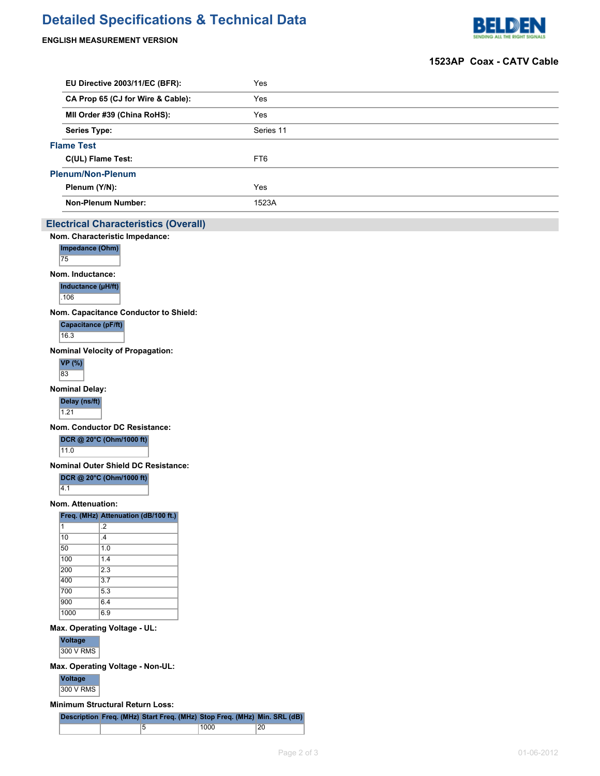# **Detailed Specifications & Technical Data**

## **ENGLISH MEASUREMENT VERSION**



### **1523AP Coax - CATV Cable**

| Yes             |
|-----------------|
| Yes             |
| Yes             |
| Series 11       |
|                 |
| FT <sub>6</sub> |
|                 |
| Yes             |
| 1523A           |
|                 |

## **Electrical Characteristics (Overall)**

**Nom. Characteristic Impedance: Impedance (Ohm)** 75 **Nom. Inductance: Inductance (µH/ft)**  $.106$ 

**Nom. Capacitance Conductor to Shield:**

**Capacitance (pF/ft)** 16.3

**Nominal Velocity of Propagation:**

**VP (%)** 83

**Nominal Delay:**

**Delay (ns/ft)**

1.21

**Nom. Conductor DC Resistance:**

## **DCR @ 20°C (Ohm/1000 ft)**

11.0

**Nominal Outer Shield DC Resistance:**

#### **DCR @ 20°C (Ohm/1000 ft)**

 $\overline{4.1}$ 

**Nom. Attenuation:**

#### **Freq. (MHz) Attenuation (dB/100 ft.)**

| 1    | $\overline{2}$ |
|------|----------------|
| 10   | $\mathcal{A}$  |
| 50   | 1.0            |
| 100  | 1.4            |
| 200  | 2.3            |
| 400  | 3.7            |
| 700  | 5.3            |
| 900  | 6.4            |
| 1000 | 6.9            |

#### **Max. Operating Voltage - UL:**

#### **Voltage**

300 V RMS

#### **Max. Operating Voltage - Non-UL:**

**Voltage** 300 V RMS

#### **Minimum Structural Return Loss:**

|  | Description Freq. (MHz) Start Freq. (MHz) Stop Freq. (MHz) Min. SRL (dB) |      |    |
|--|--------------------------------------------------------------------------|------|----|
|  |                                                                          | 1000 | 20 |